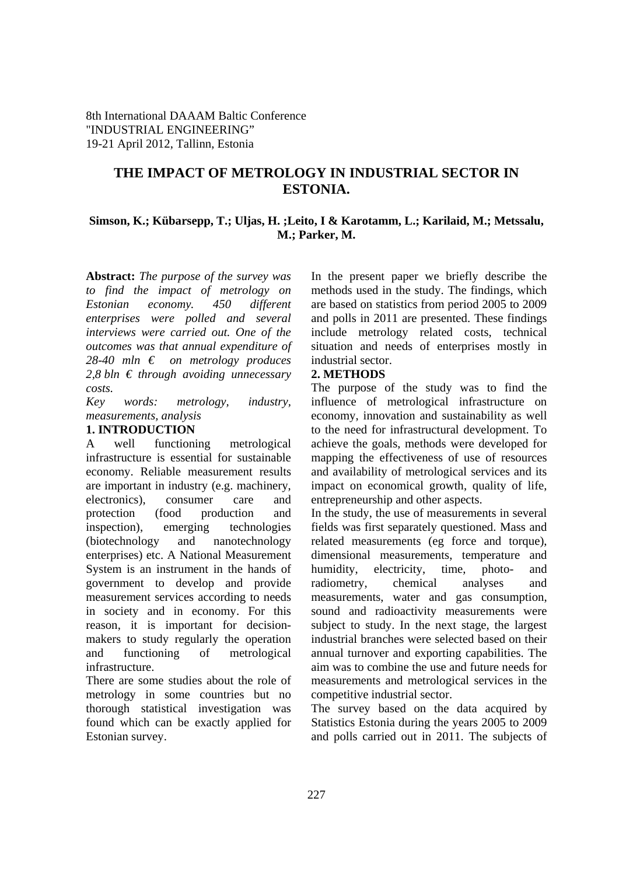8th International DAAAM Baltic Conference "INDUSTRIAL ENGINEERING" 19-21 April 2012, Tallinn, Estonia

# **THE IMPACT OF METROLOGY IN INDUSTRIAL SECTOR IN ESTONIA.**

## **Simson, K.; Kübarsepp, T.; Uljas, H. ;Leito, I & Karotamm, L.; Karilaid, M.; Metssalu, M.; Parker, M.**

**Abstract:** *The purpose of the survey was to find the impact of metrology on Estonian economy. 450 different enterprises were polled and several interviews were carried out. One of the outcomes was that annual expenditure of 28-40 mln € on metrology produces 2,8 bln € through avoiding unnecessary costs.* 

*Key words: metrology, industry, measurements, analysis* 

#### **1. INTRODUCTION**

A well functioning metrological infrastructure is essential for sustainable economy. Reliable measurement results are important in industry (e.g. machinery, electronics), consumer care and protection (food production and inspection), emerging technologies (biotechnology and nanotechnology enterprises) etc. A National Measurement System is an instrument in the hands of government to develop and provide measurement services according to needs in society and in economy. For this reason, it is important for decisionmakers to study regularly the operation and functioning of metrological infrastructure.

There are some studies about the role of metrology in some countries but no thorough statistical investigation was found which can be exactly applied for Estonian survey.

In the present paper we briefly describe the methods used in the study. The findings, which are based on statistics from period 2005 to 2009 and polls in 2011 are presented. These findings include metrology related costs, technical situation and needs of enterprises mostly in industrial sector.

#### **2. METHODS**

The purpose of the study was to find the influence of metrological infrastructure on economy, innovation and sustainability as well to the need for infrastructural development. To achieve the goals, methods were developed for mapping the effectiveness of use of resources and availability of metrological services and its impact on economical growth, quality of life, entrepreneurship and other aspects.

In the study, the use of measurements in several fields was first separately questioned. Mass and related measurements (eg force and torque), dimensional measurements, temperature and humidity, electricity, time, photo- and radiometry, chemical analyses and measurements, water and gas consumption, sound and radioactivity measurements were subject to study. In the next stage, the largest industrial branches were selected based on their annual turnover and exporting capabilities. The aim was to combine the use and future needs for measurements and metrological services in the competitive industrial sector.

The survey based on the data acquired by Statistics Estonia during the years 2005 to 2009 and polls carried out in 2011. The subjects of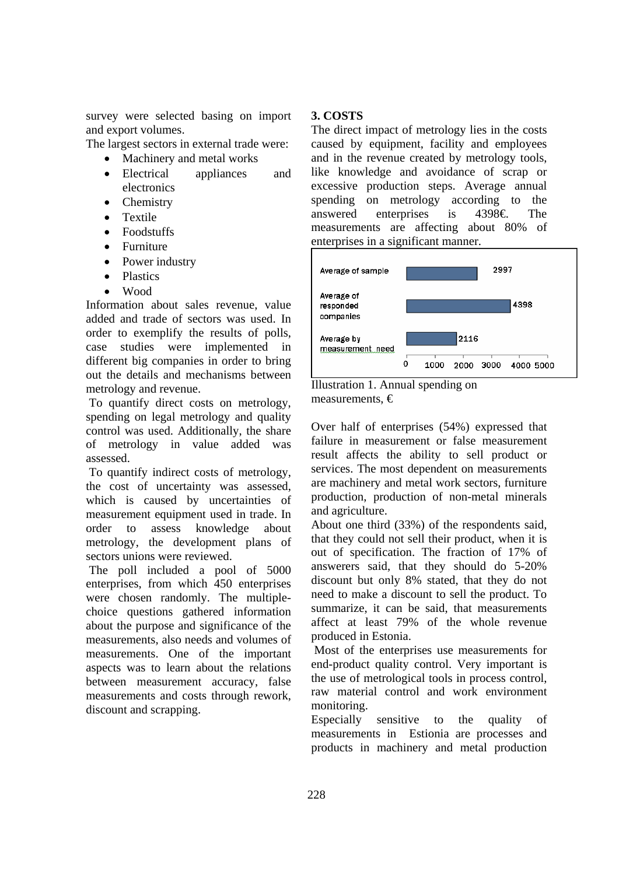survey were selected basing on import and export volumes.

The largest sectors in external trade were:

- Machinery and metal works
- Electrical appliances and electronics
- Chemistry
- Textile
- Foodstuffs
- Furniture
- Power industry
- Plastics
- Wood

Information about sales revenue, value added and trade of sectors was used. In order to exemplify the results of polls, case studies were implemented in different big companies in order to bring out the details and mechanisms between metrology and revenue.

 To quantify direct costs on metrology, spending on legal metrology and quality control was used. Additionally, the share of metrology in value added was assessed.

 To quantify indirect costs of metrology, the cost of uncertainty was assessed, which is caused by uncertainties of measurement equipment used in trade. In order to assess knowledge about metrology, the development plans of sectors unions were reviewed.

 The poll included a pool of 5000 enterprises, from which 450 enterprises were chosen randomly. The multiplechoice questions gathered information about the purpose and significance of the measurements, also needs and volumes of measurements. One of the important aspects was to learn about the relations between measurement accuracy, false measurements and costs through rework, discount and scrapping.

## **3. COSTS**

The direct impact of metrology lies in the costs caused by equipment, facility and employees and in the revenue created by metrology tools, like knowledge and avoidance of scrap or excessive production steps. Average annual spending on metrology according to the answered enterprises is  $4398 \epsilon$ . The measurements are affecting about 80% of enterprises in a significant manner.





Over half of enterprises (54%) expressed that failure in measurement or false measurement result affects the ability to sell product or services. The most dependent on measurements are machinery and metal work sectors, furniture production, production of non-metal minerals and agriculture.

About one third (33%) of the respondents said, that they could not sell their product, when it is out of specification. The fraction of 17% of answerers said, that they should do 5-20% discount but only 8% stated, that they do not need to make a discount to sell the product. To summarize, it can be said, that measurements affect at least 79% of the whole revenue produced in Estonia.

 Most of the enterprises use measurements for end-product quality control. Very important is the use of metrological tools in process control, raw material control and work environment monitoring.

Especially sensitive to the quality of measurements in Estionia are processes and products in machinery and metal production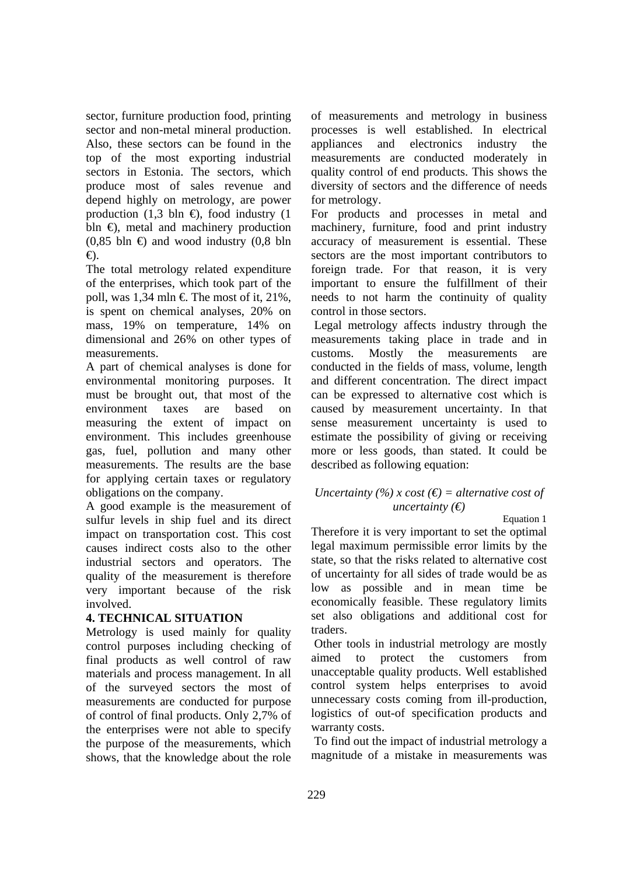sector, furniture production food, printing sector and non-metal mineral production. Also, these sectors can be found in the top of the most exporting industrial sectors in Estonia. The sectors, which produce most of sales revenue and depend highly on metrology, are power production (1,3 bln  $\oplus$ , food industry (1) bln  $\oplus$ , metal and machinery production  $(0.85 \text{ bh} \oplus \text{ and wood industry} (0.8 \text{ bh})$ €).

The total metrology related expenditure of the enterprises, which took part of the poll, was 1,34 mln  $\in$  The most of it, 21%, is spent on chemical analyses, 20% on mass, 19% on temperature, 14% on dimensional and 26% on other types of measurements.

A part of chemical analyses is done for environmental monitoring purposes. It must be brought out, that most of the environment taxes are based on measuring the extent of impact on environment. This includes greenhouse gas, fuel, pollution and many other measurements. The results are the base for applying certain taxes or regulatory obligations on the company.

A good example is the measurement of sulfur levels in ship fuel and its direct impact on transportation cost. This cost causes indirect costs also to the other industrial sectors and operators. The quality of the measurement is therefore very important because of the risk involved.

# **4. TECHNICAL SITUATION**

Metrology is used mainly for quality control purposes including checking of final products as well control of raw materials and process management. In all of the surveyed sectors the most of measurements are conducted for purpose of control of final products. Only 2,7% of the enterprises were not able to specify the purpose of the measurements, which shows, that the knowledge about the role of measurements and metrology in business processes is well established. In electrical appliances and electronics industry the measurements are conducted moderately in quality control of end products. This shows the diversity of sectors and the difference of needs for metrology.

For products and processes in metal and machinery, furniture, food and print industry accuracy of measurement is essential. These sectors are the most important contributors to foreign trade. For that reason, it is very important to ensure the fulfillment of their needs to not harm the continuity of quality control in those sectors.

 Legal metrology affects industry through the measurements taking place in trade and in customs. Mostly the measurements are conducted in the fields of mass, volume, length and different concentration. The direct impact can be expressed to alternative cost which is caused by measurement uncertainty. In that sense measurement uncertainty is used to estimate the possibility of giving or receiving more or less goods, than stated. It could be described as following equation:

### *Uncertainty (%) x cost (* $\epsilon$ *) = alternative cost of uncertainty (€)*

Equation 1

Therefore it is very important to set the optimal legal maximum permissible error limits by the state, so that the risks related to alternative cost of uncertainty for all sides of trade would be as low as possible and in mean time be economically feasible. These regulatory limits set also obligations and additional cost for traders.

 Other tools in industrial metrology are mostly aimed to protect the customers from unacceptable quality products. Well established control system helps enterprises to avoid unnecessary costs coming from ill-production, logistics of out-of specification products and warranty costs.

 To find out the impact of industrial metrology a magnitude of a mistake in measurements was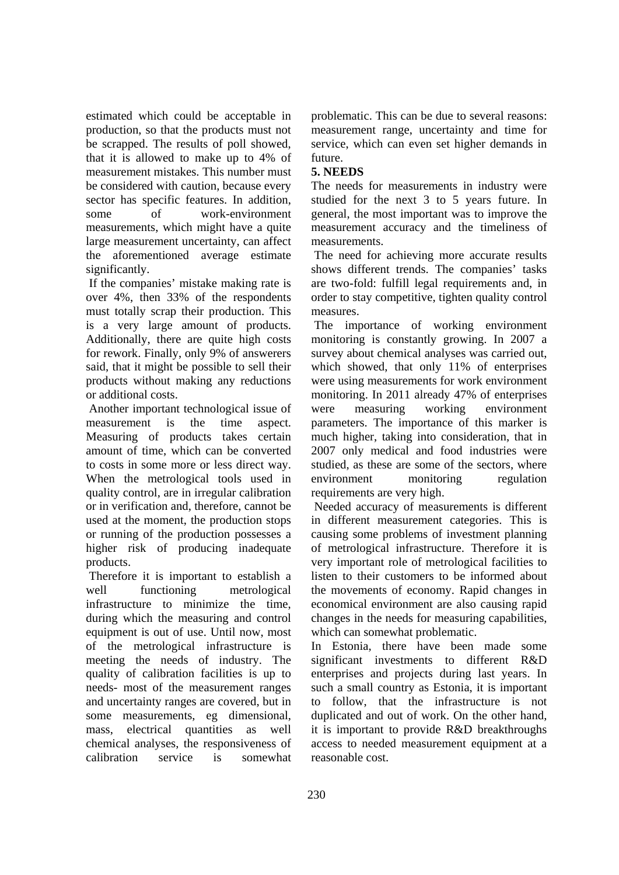estimated which could be acceptable in production, so that the products must not be scrapped. The results of poll showed, that it is allowed to make up to 4% of measurement mistakes. This number must be considered with caution, because every sector has specific features. In addition, some of work-environment measurements, which might have a quite large measurement uncertainty, can affect the aforementioned average estimate significantly.

 If the companies' mistake making rate is over 4%, then 33% of the respondents must totally scrap their production. This is a very large amount of products. Additionally, there are quite high costs for rework. Finally, only 9% of answerers said, that it might be possible to sell their products without making any reductions or additional costs.

 Another important technological issue of measurement is the time aspect. Measuring of products takes certain amount of time, which can be converted to costs in some more or less direct way. When the metrological tools used in quality control, are in irregular calibration or in verification and, therefore, cannot be used at the moment, the production stops or running of the production possesses a higher risk of producing inadequate products.

 Therefore it is important to establish a well functioning metrological infrastructure to minimize the time, during which the measuring and control equipment is out of use. Until now, most of the metrological infrastructure is meeting the needs of industry. The quality of calibration facilities is up to needs- most of the measurement ranges and uncertainty ranges are covered, but in some measurements, eg dimensional, mass, electrical quantities as well chemical analyses, the responsiveness of calibration service is somewhat

problematic. This can be due to several reasons: measurement range, uncertainty and time for service, which can even set higher demands in future.

## **5. NEEDS**

The needs for measurements in industry were studied for the next 3 to 5 years future. In general, the most important was to improve the measurement accuracy and the timeliness of measurements.

 The need for achieving more accurate results shows different trends. The companies' tasks are two-fold: fulfill legal requirements and, in order to stay competitive, tighten quality control measures.

 The importance of working environment monitoring is constantly growing. In 2007 a survey about chemical analyses was carried out, which showed, that only 11% of enterprises were using measurements for work environment monitoring. In 2011 already 47% of enterprises were measuring working environment parameters. The importance of this marker is much higher, taking into consideration, that in 2007 only medical and food industries were studied, as these are some of the sectors, where environment monitoring regulation requirements are very high.

 Needed accuracy of measurements is different in different measurement categories. This is causing some problems of investment planning of metrological infrastructure. Therefore it is very important role of metrological facilities to listen to their customers to be informed about the movements of economy. Rapid changes in economical environment are also causing rapid changes in the needs for measuring capabilities, which can somewhat problematic.

In Estonia, there have been made some significant investments to different R&D enterprises and projects during last years. In such a small country as Estonia, it is important to follow, that the infrastructure is not duplicated and out of work. On the other hand, it is important to provide R&D breakthroughs access to needed measurement equipment at a reasonable cost.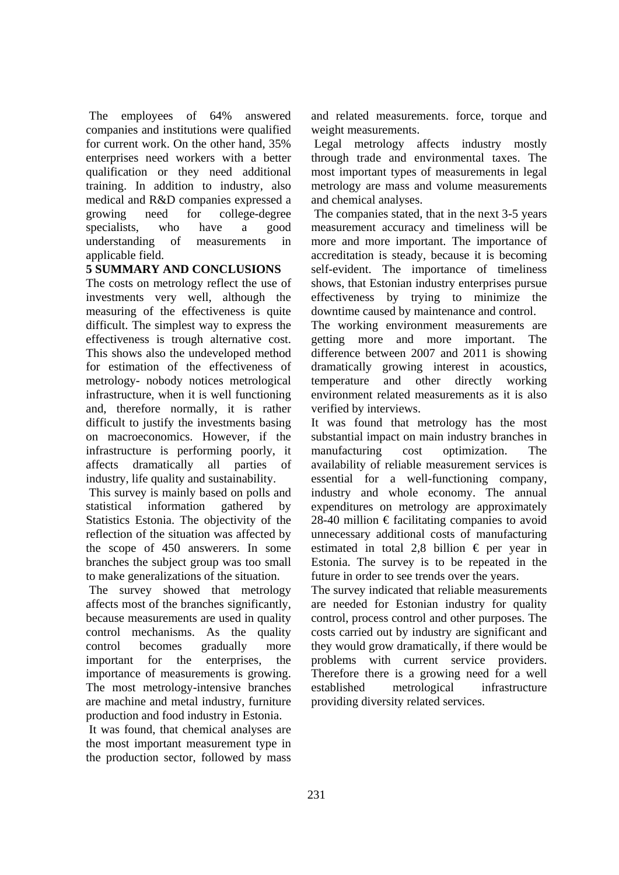The employees of 64% answered companies and institutions were qualified for current work. On the other hand, 35% enterprises need workers with a better qualification or they need additional training. In addition to industry, also medical and R&D companies expressed a growing need for college-degree specialists, who have a good understanding of measurements in applicable field.

# **5 SUMMARY AND CONCLUSIONS**

The costs on metrology reflect the use of investments very well, although the measuring of the effectiveness is quite difficult. The simplest way to express the effectiveness is trough alternative cost. This shows also the undeveloped method for estimation of the effectiveness of metrology- nobody notices metrological infrastructure, when it is well functioning and, therefore normally, it is rather difficult to justify the investments basing on macroeconomics. However, if the infrastructure is performing poorly, it affects dramatically all parties of industry, life quality and sustainability.

 This survey is mainly based on polls and statistical information gathered by Statistics Estonia. The objectivity of the reflection of the situation was affected by the scope of 450 answerers. In some branches the subject group was too small to make generalizations of the situation.

 The survey showed that metrology affects most of the branches significantly, because measurements are used in quality control mechanisms. As the quality control becomes gradually more important for the enterprises, the importance of measurements is growing. The most metrology-intensive branches are machine and metal industry, furniture production and food industry in Estonia.

 It was found, that chemical analyses are the most important measurement type in the production sector, followed by mass and related measurements. force, torque and weight measurements.

 Legal metrology affects industry mostly through trade and environmental taxes. The most important types of measurements in legal metrology are mass and volume measurements and chemical analyses.

 The companies stated, that in the next 3-5 years measurement accuracy and timeliness will be more and more important. The importance of accreditation is steady, because it is becoming self-evident. The importance of timeliness shows, that Estonian industry enterprises pursue effectiveness by trying to minimize the downtime caused by maintenance and control.

The working environment measurements are getting more and more important. The difference between 2007 and 2011 is showing dramatically growing interest in acoustics, temperature and other directly working environment related measurements as it is also verified by interviews.

It was found that metrology has the most substantial impact on main industry branches in manufacturing cost optimization. The availability of reliable measurement services is essential for a well-functioning company, industry and whole economy. The annual expenditures on metrology are approximately 28-40 million  $\epsilon$  facilitating companies to avoid unnecessary additional costs of manufacturing estimated in total 2,8 billion  $\epsilon$  per year in Estonia. The survey is to be repeated in the future in order to see trends over the years.

The survey indicated that reliable measurements are needed for Estonian industry for quality control, process control and other purposes. The costs carried out by industry are significant and they would grow dramatically, if there would be problems with current service providers. Therefore there is a growing need for a well established metrological infrastructure providing diversity related services.